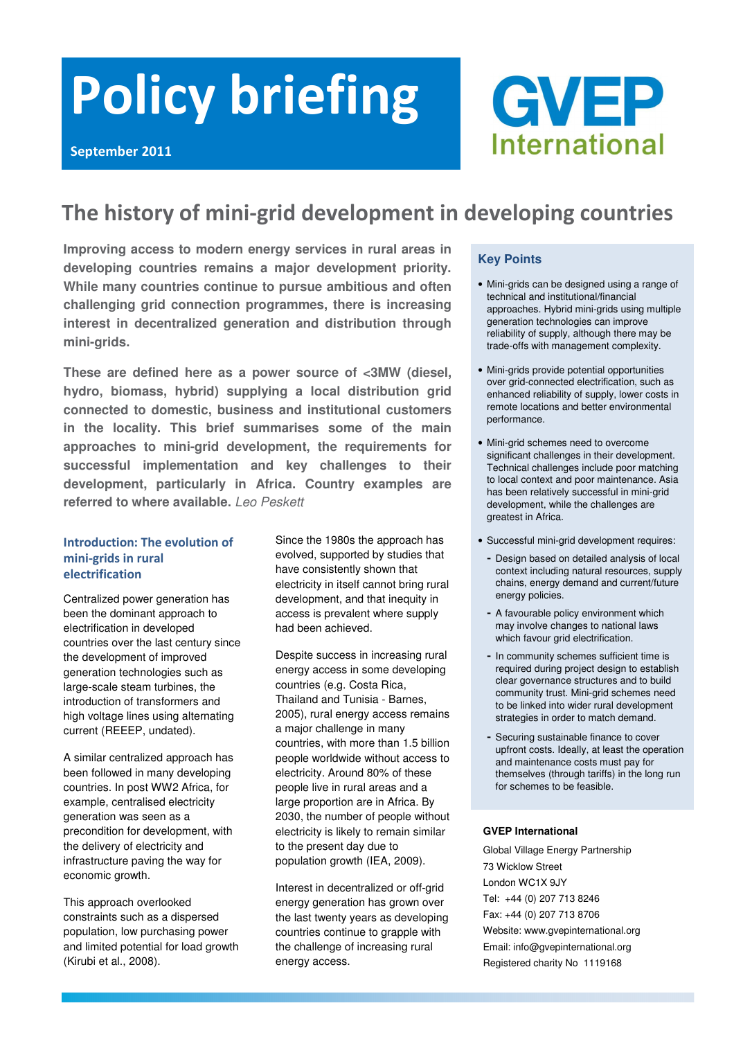# Policy briefing



## The history of mini-grid development in developing countries

**Improving access to modern energy services in rural areas in developing countries remains a major development priority. While many countries continue to pursue ambitious and often challenging grid connection programmes, there is increasing interest in decentralized generation and distribution through mini-grids.** 

**These are defined here as a power source of <3MW (diesel, hydro, biomass, hybrid) supplying a local distribution grid connected to domestic, business and institutional customers in the locality. This brief summarises some of the main approaches to mini-grid development, the requirements for successful implementation and key challenges to their development, particularly in Africa. Country examples are referred to where available.** Leo Peskett

## Introduction: The evolution of mini-grids in rural electrification

Centralized power generation has been the dominant approach to electrification in developed countries over the last century since the development of improved generation technologies such as large-scale steam turbines, the introduction of transformers and high voltage lines using alternating current (REEEP, undated).

A similar centralized approach has been followed in many developing countries. In post WW2 Africa, for example, centralised electricity generation was seen as a precondition for development, with the delivery of electricity and infrastructure paving the way for economic growth.

This approach overlooked constraints such as a dispersed population, low purchasing power and limited potential for load growth (Kirubi et al., 2008).

Since the 1980s the approach has evolved, supported by studies that have consistently shown that electricity in itself cannot bring rural development, and that inequity in access is prevalent where supply had been achieved.

Despite success in increasing rural energy access in some developing countries (e.g. Costa Rica, Thailand and Tunisia - Barnes, 2005), rural energy access remains a major challenge in many countries, with more than 1.5 billion people worldwide without access to electricity. Around 80% of these people live in rural areas and a large proportion are in Africa. By 2030, the number of people without electricity is likely to remain similar to the present day due to population growth (IEA, 2009).

Interest in decentralized or off-grid energy generation has grown over the last twenty years as developing countries continue to grapple with the challenge of increasing rural energy access.

## **Key Points**

- Mini-grids can be designed using a range of technical and institutional/financial approaches. Hybrid mini-grids using multiple generation technologies can improve reliability of supply, although there may be trade-offs with management complexity.
- Mini-grids provide potential opportunities over grid-connected electrification, such as enhanced reliability of supply, lower costs in remote locations and better environmental performance.
- Mini-grid schemes need to overcome significant challenges in their development. Technical challenges include poor matching to local context and poor maintenance. Asia has been relatively successful in mini-grid development, while the challenges are greatest in Africa.
- Successful mini-grid development requires:
	- Design based on detailed analysis of local context including natural resources, supply chains, energy demand and current/future energy policies.
	- A favourable policy environment which may involve changes to national laws which favour grid electrification.
	- In community schemes sufficient time is required during project design to establish clear governance structures and to build community trust. Mini-grid schemes need to be linked into wider rural development strategies in order to match demand.
	- Securing sustainable finance to cover upfront costs. Ideally, at least the operation and maintenance costs must pay for themselves (through tariffs) in the long run for schemes to be feasible.

## **GVEP International**

Global Village Energy Partnership 73 Wicklow Street London WC1X 9JY Tel: +44 (0) 207 713 8246 Fax: +44 (0) 207 713 8706 Website: www.gvepinternational.org Email: info@gvepinternational.org Registered charity No 1119168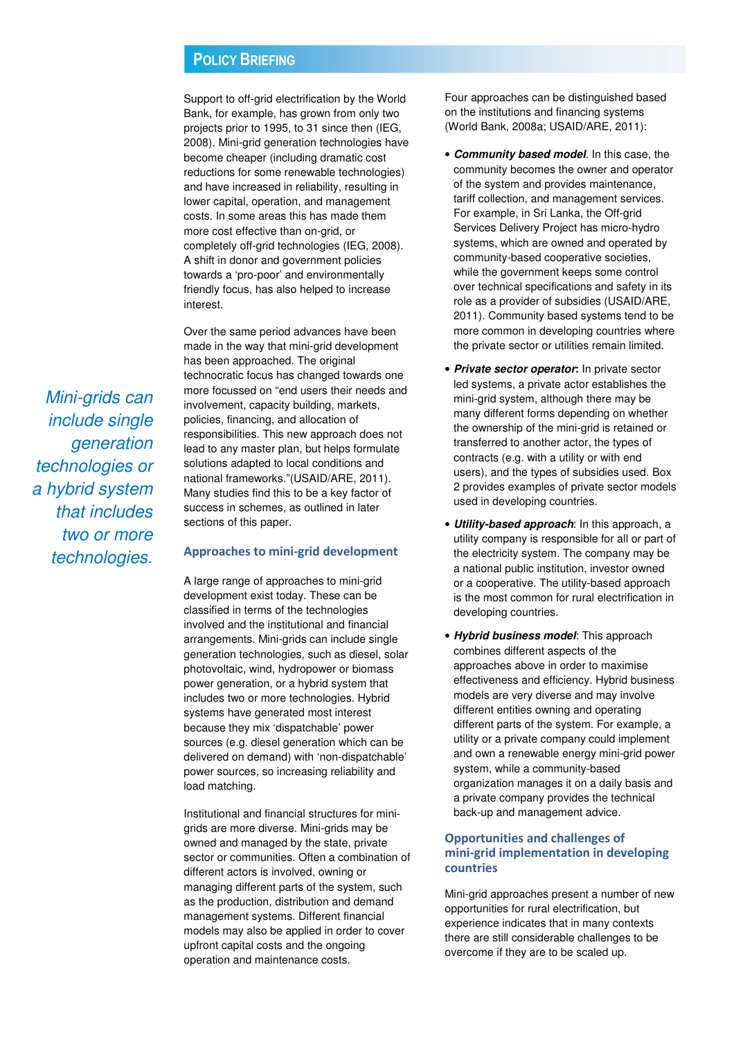Support to off-grid electrification by the World Bank, for example, has grown from only two projects prior to 1995, to 31 since then (IEG, 2008). Mini-grid generation technologies have become cheaper (including dramatic cost reductions for some renewable technologies) and have increased in reliability, resulting in lower capital, operation, and management costs. In some areas this has made them more cost effective than on-grid, or completely off-grid technologies (IEG, 2008). A shift in donor and government policies towards a 'pro-poor' and environmentally friendly focus, has also helped to increase interest.

Over the same period advances have been made in the way that mini-grid development has been approached. The original technocratic focus has changed towards one more focussed on "end users their needs and involvement, capacity building, markets, policies, financing, and allocation of responsibilities. This new approach does not lead to any master plan, but helps formulate solutions adapted to local conditions and national frameworks."(USAID/ARE, 2011). Many studies find this to be a key factor of success in schemes, as outlined in later sections of this paper.

## Approaches to mini-grid development

A large range of approaches to mini-grid development exist today. These can be classified in terms of the technologies involved and the institutional and financial arrangements. Mini-grids can include single generation technologies, such as diesel, solar photovoltaic, wind, hydropower or biomass power generation, or a hybrid system that includes two or more technologies. Hybrid systems have generated most interest because they mix 'dispatchable' power sources (e.g. diesel generation which can be delivered on demand) with 'non-dispatchable' power sources, so increasing reliability and load matching.

Institutional and financial structures for minigrids are more diverse. Mini-grids may be owned and managed by the state, private sector or communities. Often a combination of different actors is involved, owning or managing different parts of the system, such as the production, distribution and demand management systems. Different financial models may also be applied in order to cover upfront capital costs and the ongoing operation and maintenance costs.

Four approaches can be distinguished based on the institutions and financing systems (World Bank, 2008a; USAID/ARE, 2011):

- **Community based model**. In this case, the community becomes the owner and operator of the system and provides maintenance, tariff collection, and management services. For example, in Sri Lanka, the Off-grid Services Delivery Project has micro-hydro systems, which are owned and operated by community-based cooperative societies, while the government keeps some control over technical specifications and safety in its role as a provider of subsidies (USAID/ARE, 2011). Community based systems tend to be more common in developing countries where the private sector or utilities remain limited.
- **Private sector operator:** In private sector led systems, a private actor establishes the mini-grid system, although there may be many different forms depending on whether the ownership of the mini-grid is retained or transferred to another actor, the types of contracts (e.g. with a utility or with end users), and the types of subsidies used. Box 2 provides examples of private sector models used in developing countries.
- **Utility-based approach**: In this approach, a utility company is responsible for all or part of the electricity system. The company may be a national public institution, investor owned or a cooperative. The utility-based approach is the most common for rural electrification in developing countries.
- **Hybrid business model**: This approach combines different aspects of the approaches above in order to maximise effectiveness and efficiency. Hybrid business models are very diverse and may involve different entities owning and operating different parts of the system. For example, a utility or a private company could implement and own a renewable energy mini-grid power system, while a community-based organization manages it on a daily basis and a private company provides the technical back-up and management advice.

## Opportunities and challenges of mini-grid implementation in developing countries

Mini-grid approaches present a number of new opportunities for rural electrification, but experience indicates that in many contexts there are still considerable challenges to be overcome if they are to be scaled up.

Mini-grids can include single generation technologies or a hybrid system that includes two or more technologies.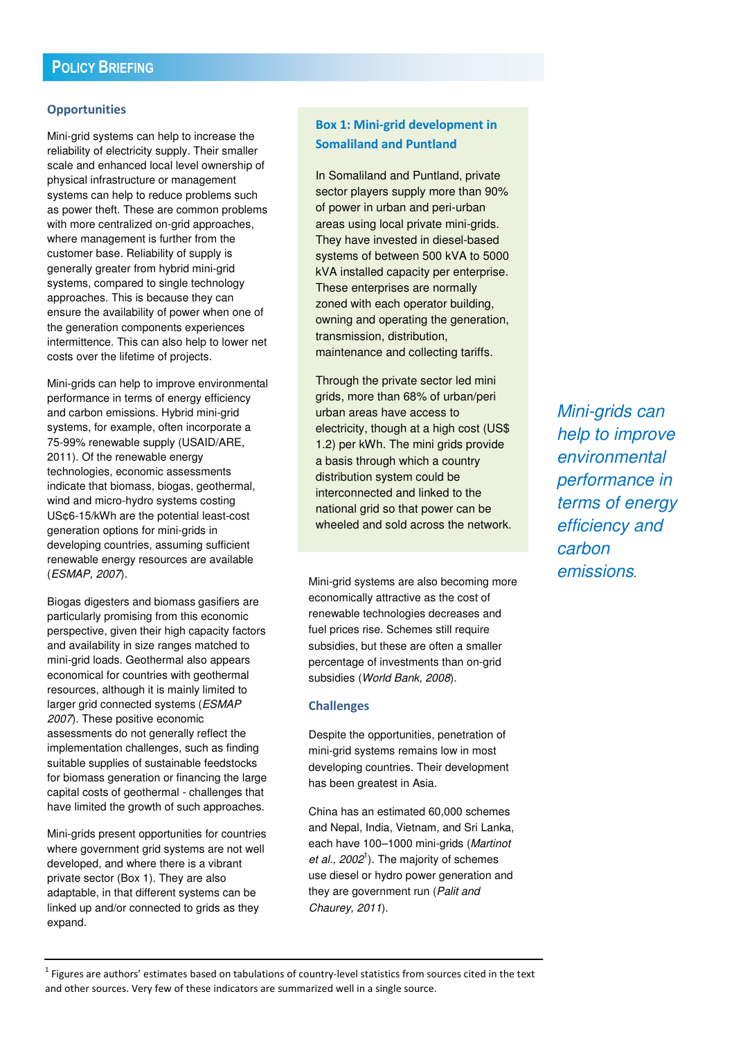## **Opportunities**

Mini-grid systems can help to increase the reliability of electricity supply. Their smaller scale and enhanced local level ownership of physical infrastructure or management systems can help to reduce problems such as power theft. These are common problems with more centralized on-grid approaches, where management is further from the customer base. Reliability of supply is generally greater from hybrid mini-grid systems, compared to single technology approaches. This is because they can ensure the availability of power when one of the generation components experiences intermittence. This can also help to lower net costs over the lifetime of projects.

Mini-grids can help to improve environmental performance in terms of energy efficiency and carbon emissions. Hybrid mini-grid systems, for example, often incorporate a 75-99% renewable supply (USAID/ARE, 2011). Of the renewable energy technologies, economic assessments indicate that biomass, biogas, geothermal, wind and micro-hydro systems costing US¢6-15/kWh are the potential least-cost generation options for mini-grids in developing countries, assuming sufficient renewable energy resources are available (ESMAP, 2007).

Biogas digesters and biomass gasifiers are particularly promising from this economic perspective, given their high capacity factors and availability in size ranges matched to mini-grid loads. Geothermal also appears economical for countries with geothermal resources, although it is mainly limited to larger grid connected systems (ESMAP 2007). These positive economic assessments do not generally reflect the implementation challenges, such as finding suitable supplies of sustainable feedstocks for biomass generation or financing the large capital costs of geothermal - challenges that have limited the growth of such approaches.

Mini-grids present opportunities for countries where government grid systems are not well developed, and where there is a vibrant private sector (Box 1). They are also adaptable, in that different systems can be linked up and/or connected to grids as they expand.

## Box 1: Mini-grid development in Somaliland and Puntland

In Somaliland and Puntland, private sector players supply more than 90% of power in urban and peri-urban areas using local private mini-grids. They have invested in diesel-based systems of between 500 kVA to 5000 kVA installed capacity per enterprise. These enterprises are normally zoned with each operator building, owning and operating the generation, transmission, distribution, maintenance and collecting tariffs.

Through the private sector led mini grids, more than 68% of urban/peri urban areas have access to electricity, though at a high cost (US\$ 1.2) per kWh. The mini grids provide a basis through which a country distribution system could be interconnected and linked to the national grid so that power can be wheeled and sold across the network.

Mini-grid systems are also becoming more economically attractive as the cost of renewable technologies decreases and fuel prices rise. Schemes still require subsidies, but these are often a smaller percentage of investments than on-grid subsidies (World Bank, 2008).

## **Challenges**

Despite the opportunities, penetration of mini-grid systems remains low in most developing countries. Their development has been greatest in Asia.

China has an estimated 60,000 schemes and Nepal, India, Vietnam, and Sri Lanka, each have 100–1000 mini-grids (Martinot et al.,  $2002<sup>1</sup>$ ). The majority of schemes use diesel or hydro power generation and they are government run (Palit and Chaurey, 2011).

Mini-grids can help to improve environmental performance in terms of energy efficiency and carbon emissions.

 $1$  Figures are authors' estimates based on tabulations of country-level statistics from sources cited in the text and other sources. Very few of these indicators are summarized well in a single source.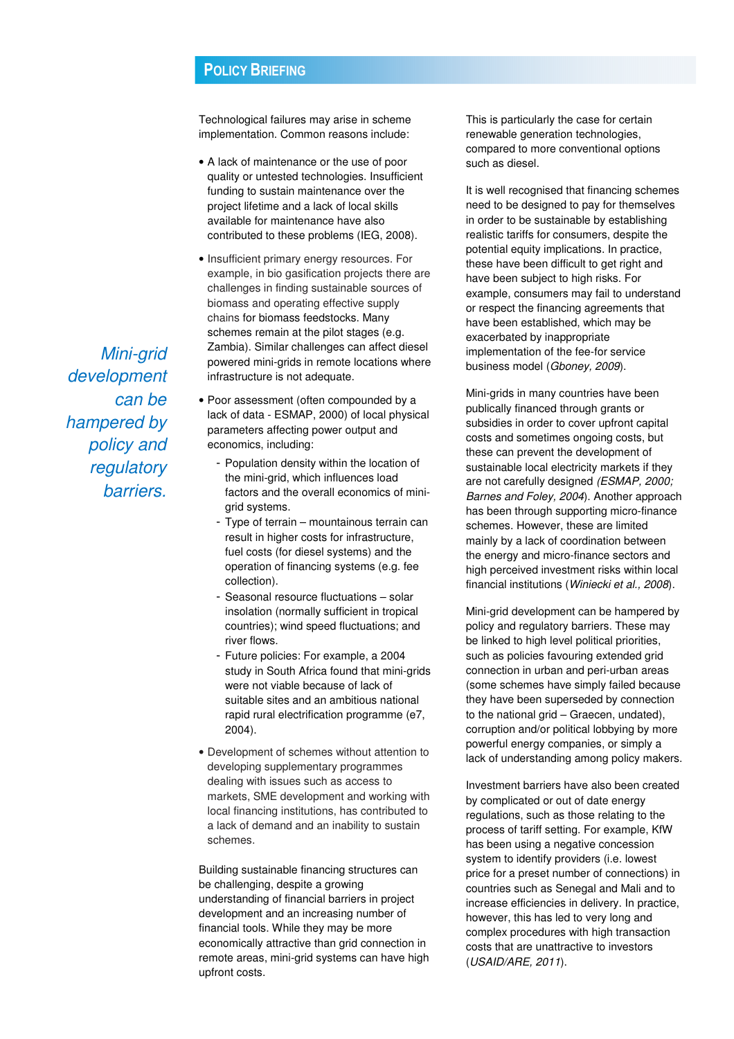Technological failures may arise in scheme implementation. Common reasons include:

- A lack of maintenance or the use of poor quality or untested technologies. Insufficient funding to sustain maintenance over the project lifetime and a lack of local skills available for maintenance have also contributed to these problems (IEG, 2008).
- Insufficient primary energy resources. For example, in bio gasification projects there are challenges in finding sustainable sources of biomass and operating effective supply chains for biomass feedstocks. Many schemes remain at the pilot stages (e.g. Zambia). Similar challenges can affect diesel powered mini-grids in remote locations where infrastructure is not adequate.
- Poor assessment (often compounded by a lack of data - ESMAP, 2000) of local physical parameters affecting power output and economics, including:
	- Population density within the location of the mini-grid, which influences load factors and the overall economics of minigrid systems.
	- Type of terrain mountainous terrain can result in higher costs for infrastructure, fuel costs (for diesel systems) and the operation of financing systems (e.g. fee collection).
	- Seasonal resource fluctuations solar insolation (normally sufficient in tropical countries); wind speed fluctuations; and river flows.
	- Future policies: For example, a 2004 study in South Africa found that mini-grids were not viable because of lack of suitable sites and an ambitious national rapid rural electrification programme (e7, 2004).
- Development of schemes without attention to developing supplementary programmes dealing with issues such as access to markets, SME development and working with local financing institutions, has contributed to a lack of demand and an inability to sustain schemes.

Building sustainable financing structures can be challenging, despite a growing understanding of financial barriers in project development and an increasing number of financial tools. While they may be more economically attractive than grid connection in remote areas, mini-grid systems can have high upfront costs.

This is particularly the case for certain renewable generation technologies, compared to more conventional options such as diesel.

It is well recognised that financing schemes need to be designed to pay for themselves in order to be sustainable by establishing realistic tariffs for consumers, despite the potential equity implications. In practice, these have been difficult to get right and have been subject to high risks. For example, consumers may fail to understand or respect the financing agreements that have been established, which may be exacerbated by inappropriate implementation of the fee-for service business model (Gboney, 2009).

Mini-grids in many countries have been publically financed through grants or subsidies in order to cover upfront capital costs and sometimes ongoing costs, but these can prevent the development of sustainable local electricity markets if they are not carefully designed (ESMAP, 2000; Barnes and Foley, 2004). Another approach has been through supporting micro-finance schemes. However, these are limited mainly by a lack of coordination between the energy and micro-finance sectors and high perceived investment risks within local financial institutions (Winiecki et al., 2008).

Mini-grid development can be hampered by policy and regulatory barriers. These may be linked to high level political priorities, such as policies favouring extended grid connection in urban and peri-urban areas (some schemes have simply failed because they have been superseded by connection to the national grid – Graecen, undated), corruption and/or political lobbying by more powerful energy companies, or simply a lack of understanding among policy makers.

Investment barriers have also been created by complicated or out of date energy regulations, such as those relating to the process of tariff setting. For example, KfW has been using a negative concession system to identify providers (i.e. lowest price for a preset number of connections) in countries such as Senegal and Mali and to increase efficiencies in delivery. In practice, however, this has led to very long and complex procedures with high transaction costs that are unattractive to investors (USAID/ARE, 2011).

Mini-grid development can be hampered by policy and regulatory barriers.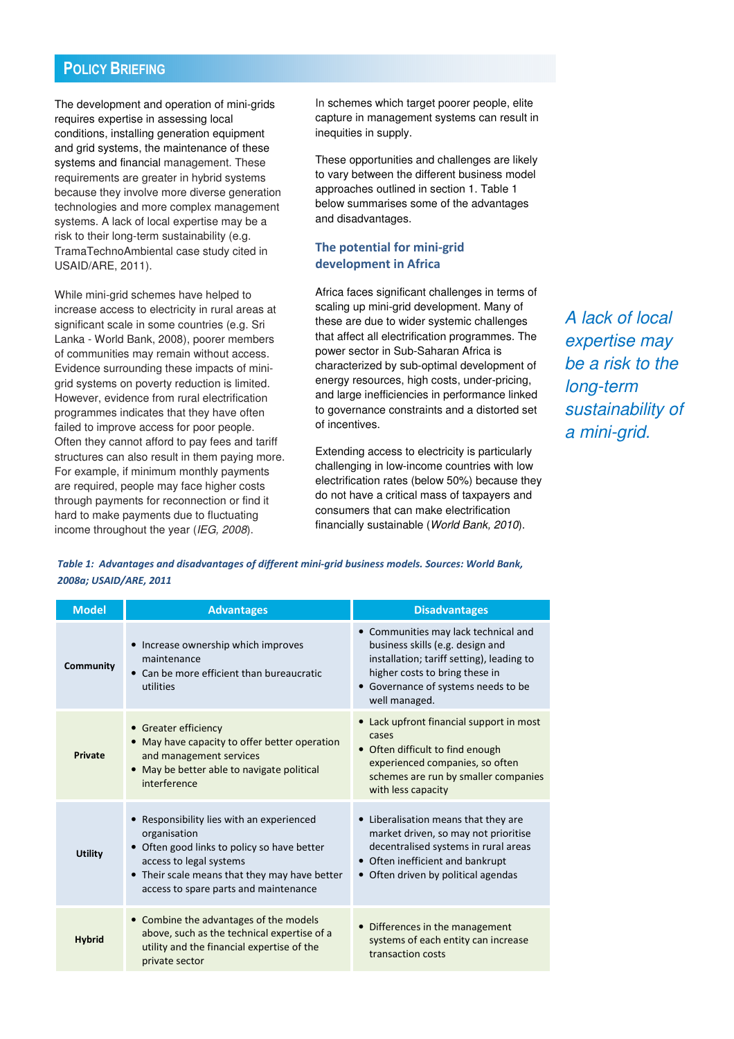The development and operation of mini-grids requires expertise in assessing local conditions, installing generation equipment and grid systems, the maintenance of these systems and financial management. These requirements are greater in hybrid systems because they involve more diverse generation technologies and more complex management systems. A lack of local expertise may be a risk to their long-term sustainability (e.g. TramaTechnoAmbiental case study cited in USAID/ARE, 2011).

While mini-grid schemes have helped to increase access to electricity in rural areas at significant scale in some countries (e.g. Sri Lanka - World Bank, 2008), poorer members of communities may remain without access. Evidence surrounding these impacts of minigrid systems on poverty reduction is limited. However, evidence from rural electrification programmes indicates that they have often failed to improve access for poor people. Often they cannot afford to pay fees and tariff structures can also result in them paying more. For example, if minimum monthly payments are required, people may face higher costs through payments for reconnection or find it hard to make payments due to fluctuating income throughout the year (IEG, 2008).

In schemes which target poorer people, elite capture in management systems can result in inequities in supply.

These opportunities and challenges are likely to vary between the different business model approaches outlined in section 1. Table 1 below summarises some of the advantages and disadvantages.

## The potential for mini-grid development in Africa

Africa faces significant challenges in terms of scaling up mini-grid development. Many of these are due to wider systemic challenges that affect all electrification programmes. The power sector in Sub-Saharan Africa is characterized by sub-optimal development of energy resources, high costs, under-pricing, and large inefficiencies in performance linked to governance constraints and a distorted set of incentives.

Extending access to electricity is particularly challenging in low-income countries with low electrification rates (below 50%) because they do not have a critical mass of taxpayers and consumers that can make electrification financially sustainable (World Bank, 2010).

A lack of local expertise may be a risk to the long-term sustainability of a mini-grid.

Table 1: Advantages and disadvantages of different mini-grid business models. Sources: World Bank, 2008a; USAID/ARE, 2011

| <b>Model</b>   | <b>Advantages</b>                                                                                                                                                                                                             | <b>Disadvantages</b>                                                                                                                                                                                            |
|----------------|-------------------------------------------------------------------------------------------------------------------------------------------------------------------------------------------------------------------------------|-----------------------------------------------------------------------------------------------------------------------------------------------------------------------------------------------------------------|
| Community      | • Increase ownership which improves<br>maintenance<br>• Can be more efficient than bureaucratic<br>utilities                                                                                                                  | • Communities may lack technical and<br>business skills (e.g. design and<br>installation; tariff setting), leading to<br>higher costs to bring these in<br>• Governance of systems needs to be<br>well managed. |
| <b>Private</b> | • Greater efficiency<br>• May have capacity to offer better operation<br>and management services<br>• May be better able to navigate political<br>interference                                                                | • Lack upfront financial support in most<br>cases<br>• Often difficult to find enough<br>experienced companies, so often<br>schemes are run by smaller companies<br>with less capacity                          |
| <b>Utility</b> | • Responsibility lies with an experienced<br>organisation<br>• Often good links to policy so have better<br>access to legal systems<br>• Their scale means that they may have better<br>access to spare parts and maintenance | • Liberalisation means that they are<br>market driven, so may not prioritise<br>decentralised systems in rural areas<br>• Often inefficient and bankrupt<br>• Often driven by political agendas                 |
| <b>Hybrid</b>  | • Combine the advantages of the models<br>above, such as the technical expertise of a<br>utility and the financial expertise of the<br>private sector                                                                         | • Differences in the management<br>systems of each entity can increase<br>transaction costs                                                                                                                     |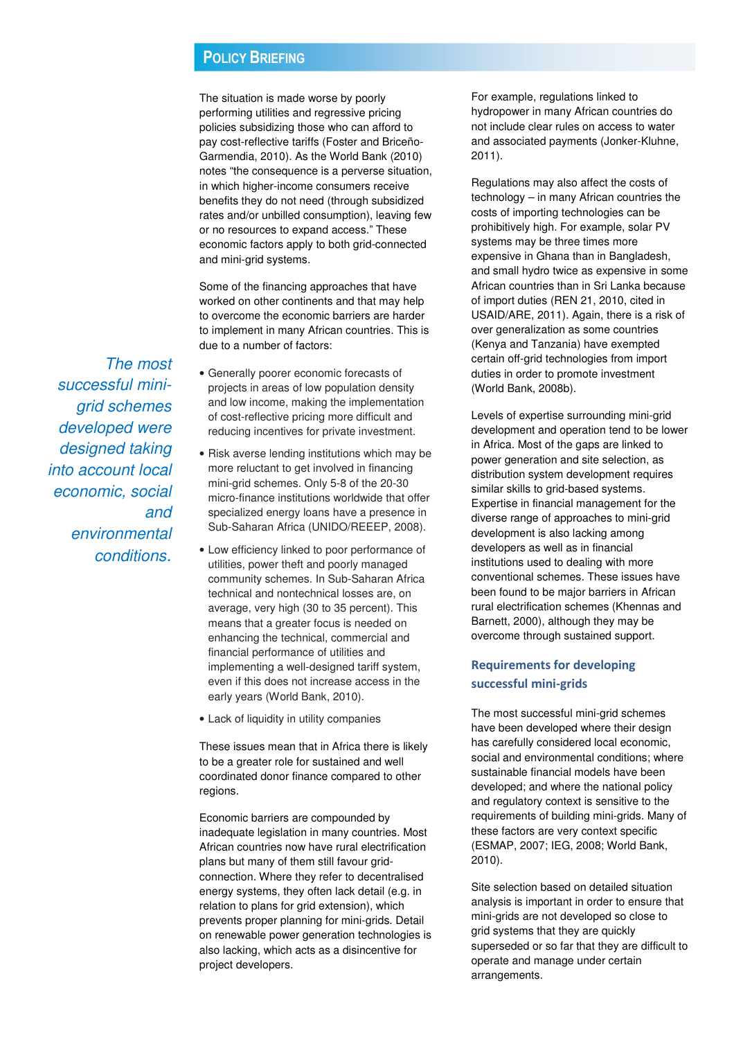The situation is made worse by poorly performing utilities and regressive pricing policies subsidizing those who can afford to pay cost-reflective tariffs (Foster and Briceño-Garmendia, 2010). As the World Bank (2010) notes "the consequence is a perverse situation, in which higher-income consumers receive benefits they do not need (through subsidized rates and/or unbilled consumption), leaving few or no resources to expand access." These economic factors apply to both grid-connected and mini-grid systems.

Some of the financing approaches that have worked on other continents and that may help to overcome the economic barriers are harder to implement in many African countries. This is due to a number of factors:

- Generally poorer economic forecasts of projects in areas of low population density and low income, making the implementation of cost-reflective pricing more difficult and reducing incentives for private investment.
- Risk averse lending institutions which may be more reluctant to get involved in financing mini-grid schemes. Only 5-8 of the 20-30 micro-finance institutions worldwide that offer specialized energy loans have a presence in Sub-Saharan Africa (UNIDO/REEEP, 2008).
- Low efficiency linked to poor performance of utilities, power theft and poorly managed community schemes. In Sub-Saharan Africa technical and nontechnical losses are, on average, very high (30 to 35 percent). This means that a greater focus is needed on enhancing the technical, commercial and financial performance of utilities and implementing a well-designed tariff system, even if this does not increase access in the early years (World Bank, 2010).
- Lack of liquidity in utility companies

These issues mean that in Africa there is likely to be a greater role for sustained and well coordinated donor finance compared to other regions.

Economic barriers are compounded by inadequate legislation in many countries. Most African countries now have rural electrification plans but many of them still favour gridconnection. Where they refer to decentralised energy systems, they often lack detail (e.g. in relation to plans for grid extension), which prevents proper planning for mini-grids. Detail on renewable power generation technologies is also lacking, which acts as a disincentive for project developers.

For example, regulations linked to hydropower in many African countries do not include clear rules on access to water and associated payments (Jonker-Kluhne, 2011).

Regulations may also affect the costs of technology – in many African countries the costs of importing technologies can be prohibitively high. For example, solar PV systems may be three times more expensive in Ghana than in Bangladesh, and small hydro twice as expensive in some African countries than in Sri Lanka because of import duties (REN 21, 2010, cited in USAID/ARE, 2011). Again, there is a risk of over generalization as some countries (Kenya and Tanzania) have exempted certain off-grid technologies from import duties in order to promote investment (World Bank, 2008b).

Levels of expertise surrounding mini-grid development and operation tend to be lower in Africa. Most of the gaps are linked to power generation and site selection, as distribution system development requires similar skills to grid-based systems. Expertise in financial management for the diverse range of approaches to mini-grid development is also lacking among developers as well as in financial institutions used to dealing with more conventional schemes. These issues have been found to be major barriers in African rural electrification schemes (Khennas and Barnett, 2000), although they may be overcome through sustained support.

## Requirements for developing successful mini-grids

The most successful mini-grid schemes have been developed where their design has carefully considered local economic, social and environmental conditions; where sustainable financial models have been developed; and where the national policy and regulatory context is sensitive to the requirements of building mini-grids. Many of these factors are very context specific (ESMAP, 2007; IEG, 2008; World Bank, 2010).

Site selection based on detailed situation analysis is important in order to ensure that mini-grids are not developed so close to grid systems that they are quickly superseded or so far that they are difficult to operate and manage under certain arrangements.

The most successful minigrid schemes developed were designed taking into account local economic, social and environmental conditions.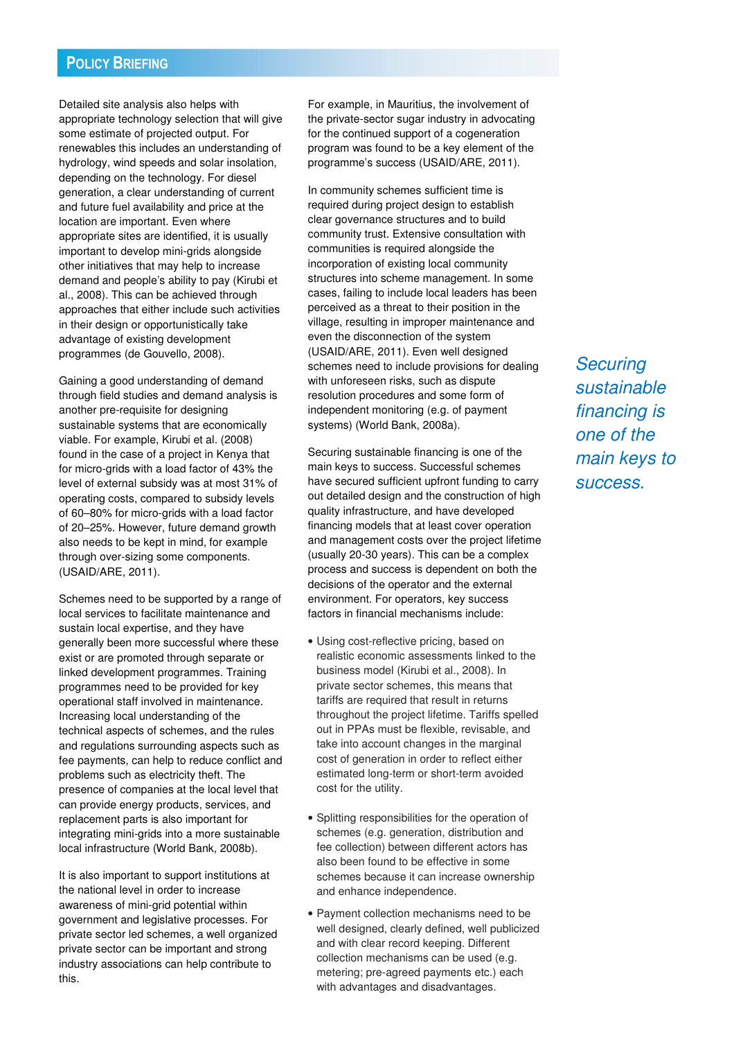Detailed site analysis also helps with appropriate technology selection that will give some estimate of projected output. For renewables this includes an understanding of hydrology, wind speeds and solar insolation, depending on the technology. For diesel generation, a clear understanding of current and future fuel availability and price at the location are important. Even where appropriate sites are identified, it is usually important to develop mini-grids alongside other initiatives that may help to increase demand and people's ability to pay (Kirubi et al., 2008). This can be achieved through approaches that either include such activities in their design or opportunistically take advantage of existing development programmes (de Gouvello, 2008).

Gaining a good understanding of demand through field studies and demand analysis is another pre-requisite for designing sustainable systems that are economically viable. For example, Kirubi et al. (2008) found in the case of a project in Kenya that for micro-grids with a load factor of 43% the level of external subsidy was at most 31% of operating costs, compared to subsidy levels of 60–80% for micro-grids with a load factor of 20–25%. However, future demand growth also needs to be kept in mind, for example through over-sizing some components. (USAID/ARE, 2011).

Schemes need to be supported by a range of local services to facilitate maintenance and sustain local expertise, and they have generally been more successful where these exist or are promoted through separate or linked development programmes. Training programmes need to be provided for key operational staff involved in maintenance. Increasing local understanding of the technical aspects of schemes, and the rules and regulations surrounding aspects such as fee payments, can help to reduce conflict and problems such as electricity theft. The presence of companies at the local level that can provide energy products, services, and replacement parts is also important for integrating mini-grids into a more sustainable local infrastructure (World Bank, 2008b).

It is also important to support institutions at the national level in order to increase awareness of mini-grid potential within government and legislative processes. For private sector led schemes, a well organized private sector can be important and strong industry associations can help contribute to this.

For example, in Mauritius, the involvement of the private-sector sugar industry in advocating for the continued support of a cogeneration program was found to be a key element of the programme's success (USAID/ARE, 2011).

In community schemes sufficient time is required during project design to establish clear governance structures and to build community trust. Extensive consultation with communities is required alongside the incorporation of existing local community structures into scheme management. In some cases, failing to include local leaders has been perceived as a threat to their position in the village, resulting in improper maintenance and even the disconnection of the system (USAID/ARE, 2011). Even well designed schemes need to include provisions for dealing with unforeseen risks, such as dispute resolution procedures and some form of independent monitoring (e.g. of payment systems) (World Bank, 2008a).

Securing sustainable financing is one of the main keys to success. Successful schemes have secured sufficient upfront funding to carry out detailed design and the construction of high quality infrastructure, and have developed financing models that at least cover operation and management costs over the project lifetime (usually 20-30 years). This can be a complex process and success is dependent on both the decisions of the operator and the external environment. For operators, key success factors in financial mechanisms include:

- Using cost-reflective pricing, based on realistic economic assessments linked to the business model (Kirubi et al., 2008). In private sector schemes, this means that tariffs are required that result in returns throughout the project lifetime. Tariffs spelled out in PPAs must be flexible, revisable, and take into account changes in the marginal cost of generation in order to reflect either estimated long-term or short-term avoided cost for the utility.
- Splitting responsibilities for the operation of schemes (e.g. generation, distribution and fee collection) between different actors has also been found to be effective in some schemes because it can increase ownership and enhance independence.
- Payment collection mechanisms need to be well designed, clearly defined, well publicized and with clear record keeping. Different collection mechanisms can be used (e.g. metering; pre-agreed payments etc.) each with advantages and disadvantages.

**Securing** sustainable financing is one of the main keys to success.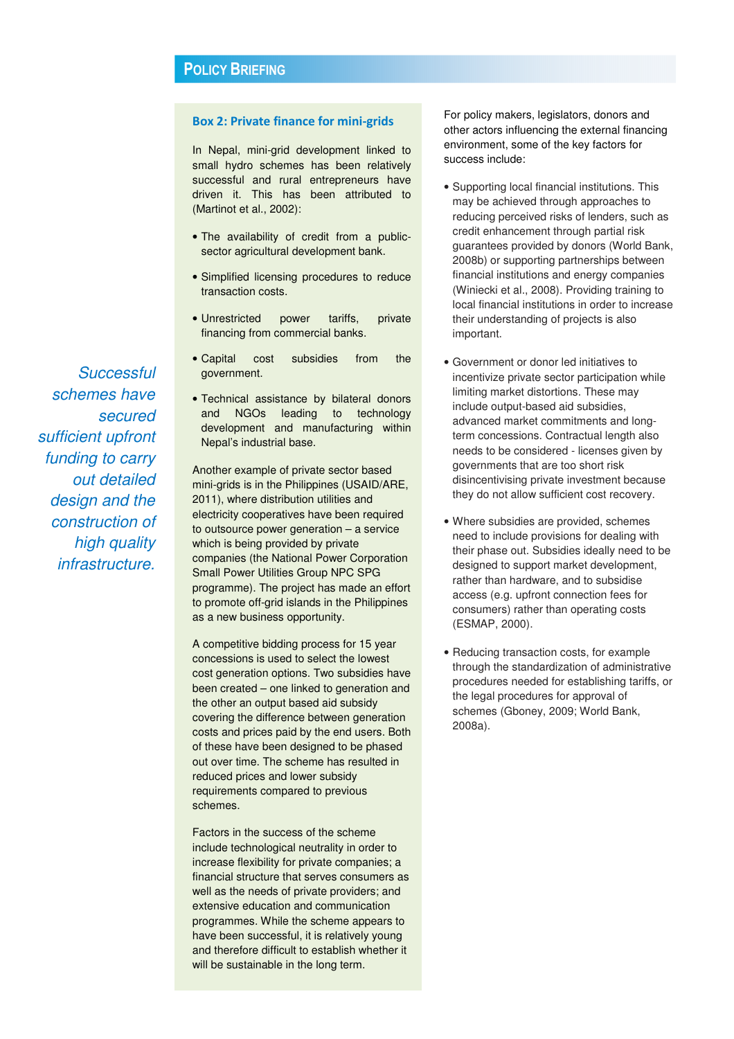#### Box 2: Private finance for mini-grids

In Nepal, mini-grid development linked to small hydro schemes has been relatively successful and rural entrepreneurs have driven it. This has been attributed to (Martinot et al., 2002):

- The availability of credit from a publicsector agricultural development bank.
- Simplified licensing procedures to reduce transaction costs.
- Unrestricted power tariffs, private financing from commercial banks.
- Capital cost subsidies from the government.
- Technical assistance by bilateral donors and NGOs leading to technology development and manufacturing within Nepal's industrial base.

Another example of private sector based mini-grids is in the Philippines (USAID/ARE, 2011), where distribution utilities and electricity cooperatives have been required to outsource power generation – a service which is being provided by private companies (the National Power Corporation Small Power Utilities Group NPC SPG programme). The project has made an effort to promote off-grid islands in the Philippines as a new business opportunity.

A competitive bidding process for 15 year concessions is used to select the lowest cost generation options. Two subsidies have been created – one linked to generation and the other an output based aid subsidy covering the difference between generation costs and prices paid by the end users. Both of these have been designed to be phased out over time. The scheme has resulted in reduced prices and lower subsidy requirements compared to previous schemes.

Factors in the success of the scheme include technological neutrality in order to increase flexibility for private companies; a financial structure that serves consumers as well as the needs of private providers; and extensive education and communication programmes. While the scheme appears to have been successful, it is relatively young and therefore difficult to establish whether it will be sustainable in the long term.

For policy makers, legislators, donors and other actors influencing the external financing environment, some of the key factors for success include:

- Supporting local financial institutions. This may be achieved through approaches to reducing perceived risks of lenders, such as credit enhancement through partial risk guarantees provided by donors (World Bank, 2008b) or supporting partnerships between financial institutions and energy companies (Winiecki et al., 2008). Providing training to local financial institutions in order to increase their understanding of projects is also important.
- Government or donor led initiatives to incentivize private sector participation while limiting market distortions. These may include output-based aid subsidies, advanced market commitments and longterm concessions. Contractual length also needs to be considered - licenses given by governments that are too short risk disincentivising private investment because they do not allow sufficient cost recovery.
- Where subsidies are provided, schemes need to include provisions for dealing with their phase out. Subsidies ideally need to be designed to support market development, rather than hardware, and to subsidise access (e.g. upfront connection fees for consumers) rather than operating costs (ESMAP, 2000).
- Reducing transaction costs, for example through the standardization of administrative procedures needed for establishing tariffs, or the legal procedures for approval of schemes (Gboney, 2009; World Bank, 2008a).

**Successful** schemes have secured sufficient upfront funding to carry out detailed design and the construction of high quality infrastructure.